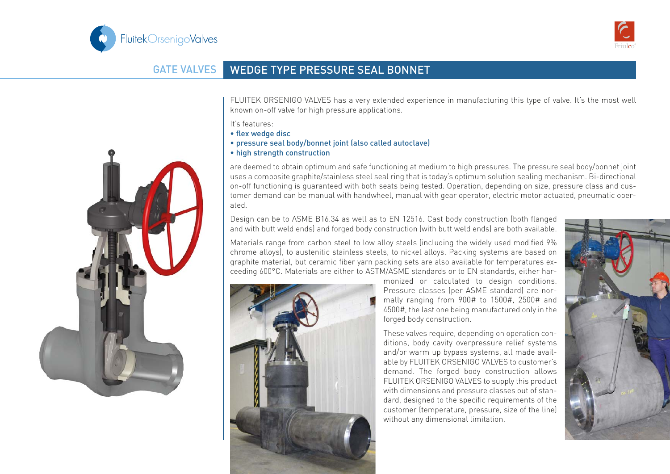



## GATE VALVES WEDGE TYPE PRESSURE SEAL BONNET

FLUITEK ORSENIGO VALVES has a very extended experience in manufacturing this type of valve. It's the most well known on-off valve for high pressure applications.

It's features:

- flex wedge disc
- pressure seal body/bonnet joint (also called autoclave)
- high strength construction

are deemed to obtain optimum and safe functioning at medium to high pressures. The pressure seal body/bonnet joint uses a composite graphite/stainless steel seal ring that is today's optimum solution sealing mechanism. Bi-directional on-off functioning is guaranteed with both seats being tested. Operation, depending on size, pressure class and customer demand can be manual with handwheel, manual with gear operator, electric motor actuated, pneumatic operated.

Design can be to ASME B16.34 as well as to EN 12516. Cast body construction (both flanged and with butt weld ends) and forged body construction (with butt weld ends) are both available.

Materials range from carbon steel to low alloy steels (including the widely used modified 9% chrome alloys), to austenitic stainless steels, to nickel alloys. Packing systems are based on graphite material, but ceramic fiber yarn packing sets are also available for temperatures exceeding 600°C. Materials are either to ASTM/ASME standards or to EN standards, either har-



monized or calculated to design conditions. Pressure classes (per ASME standard) are normally ranging from 900# to 1500#, 2500# and 4500#, the last one being manufactured only in the forged body construction.

These valves require, depending on operation conditions, body cavity overpressure relief systems and/or warm up bypass systems, all made available by FLUITEK ORSENIGO VALVES to customer's demand. The forged body construction allows FLUITEK ORSENIGO VALVES to supply this product with dimensions and pressure classes out of standard, designed to the specific requirements of the customer (temperature, pressure, size of the line) without any dimensional limitation.